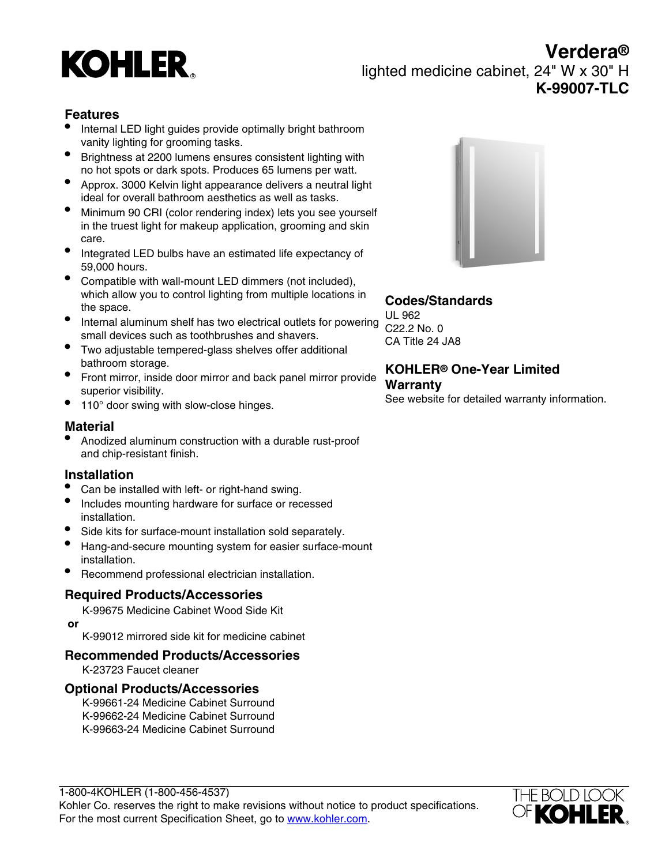# **KOHLER**

# **Verdera®** lighted medicine cabinet, 24" W x 30" H **K-99007-TLC**

## **Features**

- Internal LED light guides provide optimally bright bathroom vanity lighting for grooming tasks.
- Brightness at 2200 lumens ensures consistent lighting with no hot spots or dark spots. Produces 65 lumens per watt.
- Approx. 3000 Kelvin light appearance delivers a neutral light ideal for overall bathroom aesthetics as well as tasks.
- Minimum 90 CRI (color rendering index) lets you see yourself in the truest light for makeup application, grooming and skin care.
- Integrated LED bulbs have an estimated life expectancy of 59,000 hours.
- Compatible with wall-mount LED dimmers (not included), which allow you to control lighting from multiple locations in the space.
- Internal aluminum shelf has two electrical outlets for powering small devices such as toothbrushes and shavers.
- Two adjustable tempered-glass shelves offer additional bathroom storage.
- Front mirror, inside door mirror and back panel mirror provide superior visibility.
- 110° door swing with slow-close hinges.

## **Material**

• Anodized aluminum construction with a durable rust-proof and chip-resistant finish.

## **Installation**

- Can be installed with left- or right-hand swing.
- Includes mounting hardware for surface or recessed installation.
- Side kits for surface-mount installation sold separately.
- Hang-and-secure mounting system for easier surface-mount installation.
- Recommend professional electrician installation.

## **Required Products/Accessories**

K-99675 Medicine Cabinet Wood Side Kit  **or**

K-99012 mirrored side kit for medicine cabinet

## **Recommended Products/Accessories**

K-23723 Faucet cleaner

#### **Optional Products/Accessories**

K-99661-24 Medicine Cabinet Surround K-99662-24 Medicine Cabinet Surround K-99663-24 Medicine Cabinet Surround



## **Codes/Standards**

UL 962 C22.2 No. 0 CA Title 24 JA8

## **KOHLER® One-Year Limited Warranty**

See website for detailed warranty information.